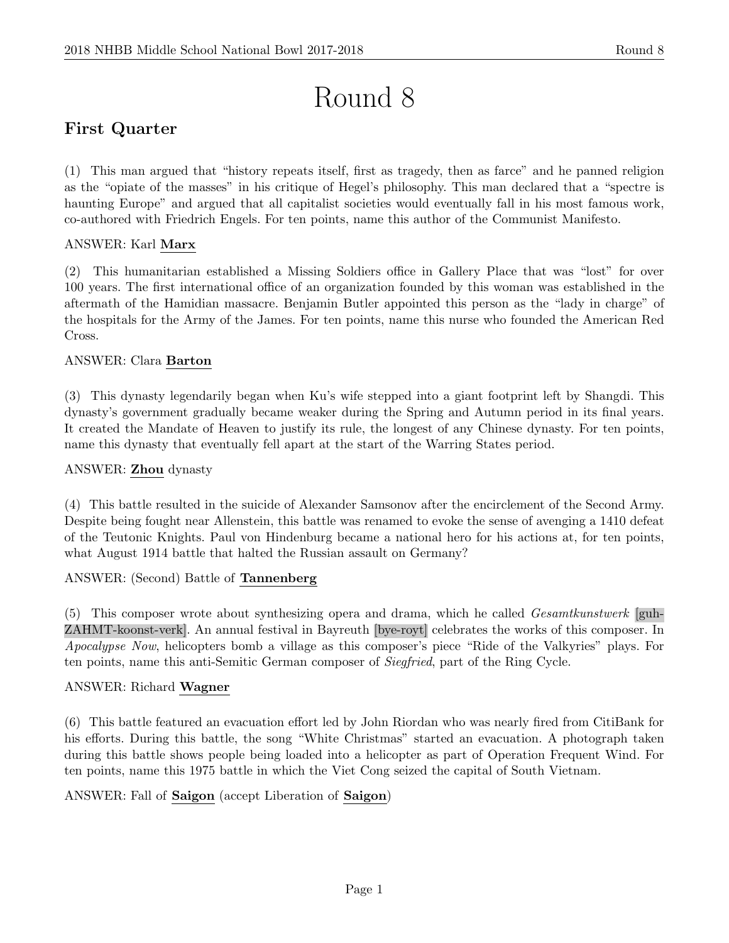# Round 8

# First Quarter

(1) This man argued that "history repeats itself, first as tragedy, then as farce" and he panned religion as the "opiate of the masses" in his critique of Hegel's philosophy. This man declared that a "spectre is haunting Europe" and argued that all capitalist societies would eventually fall in his most famous work, co-authored with Friedrich Engels. For ten points, name this author of the Communist Manifesto.

### ANSWER: Karl Marx

(2) This humanitarian established a Missing Soldiers office in Gallery Place that was "lost" for over 100 years. The first international office of an organization founded by this woman was established in the aftermath of the Hamidian massacre. Benjamin Butler appointed this person as the "lady in charge" of the hospitals for the Army of the James. For ten points, name this nurse who founded the American Red Cross.

### ANSWER: Clara Barton

(3) This dynasty legendarily began when Ku's wife stepped into a giant footprint left by Shangdi. This dynasty's government gradually became weaker during the Spring and Autumn period in its final years. It created the Mandate of Heaven to justify its rule, the longest of any Chinese dynasty. For ten points, name this dynasty that eventually fell apart at the start of the Warring States period.

### ANSWER: Zhou dynasty

(4) This battle resulted in the suicide of Alexander Samsonov after the encirclement of the Second Army. Despite being fought near Allenstein, this battle was renamed to evoke the sense of avenging a 1410 defeat of the Teutonic Knights. Paul von Hindenburg became a national hero for his actions at, for ten points, what August 1914 battle that halted the Russian assault on Germany?

### ANSWER: (Second) Battle of Tannenberg

(5) This composer wrote about synthesizing opera and drama, which he called Gesamtkunstwerk [guh-ZAHMT-koonst-verk]. An annual festival in Bayreuth [bye-royt] celebrates the works of this composer. In Apocalypse Now, helicopters bomb a village as this composer's piece "Ride of the Valkyries" plays. For ten points, name this anti-Semitic German composer of Siegfried, part of the Ring Cycle.

### ANSWER: Richard Wagner

(6) This battle featured an evacuation effort led by John Riordan who was nearly fired from CitiBank for his efforts. During this battle, the song "White Christmas" started an evacuation. A photograph taken during this battle shows people being loaded into a helicopter as part of Operation Frequent Wind. For ten points, name this 1975 battle in which the Viet Cong seized the capital of South Vietnam.

ANSWER: Fall of Saigon (accept Liberation of Saigon)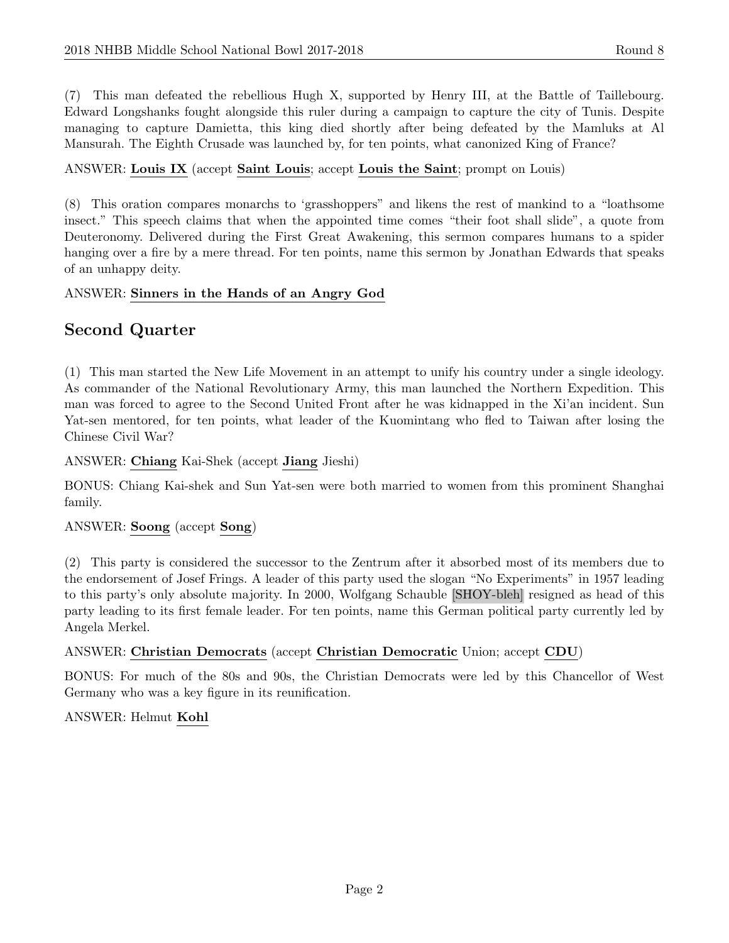(7) This man defeated the rebellious Hugh X, supported by Henry III, at the Battle of Taillebourg. Edward Longshanks fought alongside this ruler during a campaign to capture the city of Tunis. Despite managing to capture Damietta, this king died shortly after being defeated by the Mamluks at Al Mansurah. The Eighth Crusade was launched by, for ten points, what canonized King of France?

### ANSWER: Louis IX (accept Saint Louis; accept Louis the Saint; prompt on Louis)

(8) This oration compares monarchs to 'grasshoppers" and likens the rest of mankind to a "loathsome insect." This speech claims that when the appointed time comes "their foot shall slide", a quote from Deuteronomy. Delivered during the First Great Awakening, this sermon compares humans to a spider hanging over a fire by a mere thread. For ten points, name this sermon by Jonathan Edwards that speaks of an unhappy deity.

### ANSWER: Sinners in the Hands of an Angry God

# Second Quarter

(1) This man started the New Life Movement in an attempt to unify his country under a single ideology. As commander of the National Revolutionary Army, this man launched the Northern Expedition. This man was forced to agree to the Second United Front after he was kidnapped in the Xi'an incident. Sun Yat-sen mentored, for ten points, what leader of the Kuomintang who fled to Taiwan after losing the Chinese Civil War?

ANSWER: Chiang Kai-Shek (accept Jiang Jieshi)

BONUS: Chiang Kai-shek and Sun Yat-sen were both married to women from this prominent Shanghai family.

# ANSWER: Soong (accept Song)

(2) This party is considered the successor to the Zentrum after it absorbed most of its members due to the endorsement of Josef Frings. A leader of this party used the slogan "No Experiments" in 1957 leading to this party's only absolute majority. In 2000, Wolfgang Schauble [SHOY-bleh] resigned as head of this party leading to its first female leader. For ten points, name this German political party currently led by Angela Merkel.

# ANSWER: Christian Democrats (accept Christian Democratic Union; accept CDU)

BONUS: For much of the 80s and 90s, the Christian Democrats were led by this Chancellor of West Germany who was a key figure in its reunification.

### ANSWER: Helmut Kohl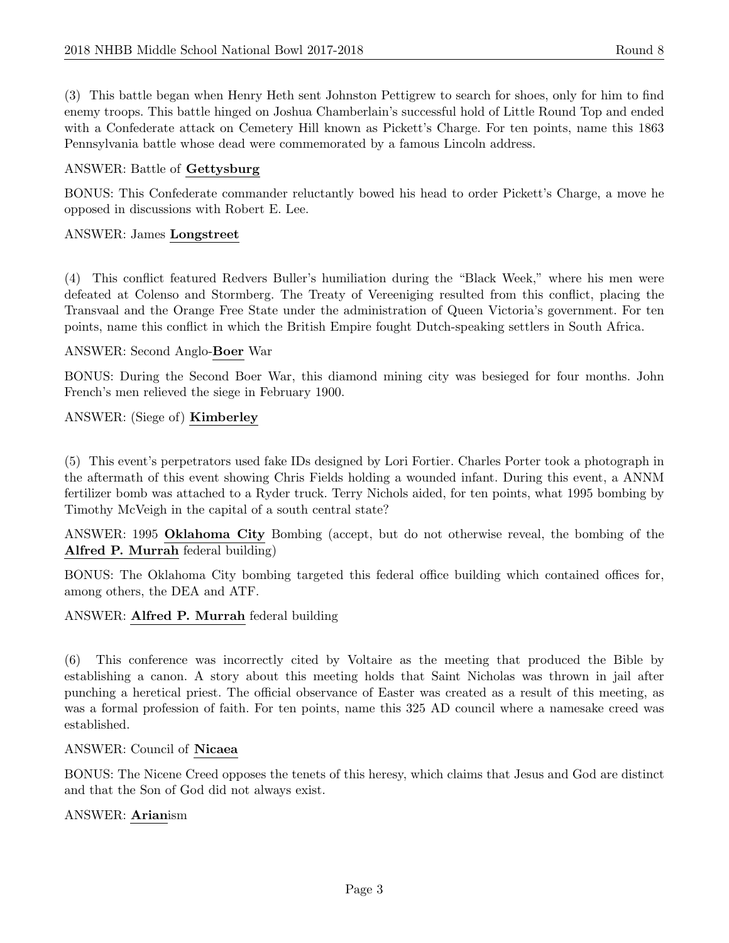(3) This battle began when Henry Heth sent Johnston Pettigrew to search for shoes, only for him to find enemy troops. This battle hinged on Joshua Chamberlain's successful hold of Little Round Top and ended with a Confederate attack on Cemetery Hill known as Pickett's Charge. For ten points, name this 1863 Pennsylvania battle whose dead were commemorated by a famous Lincoln address.

### ANSWER: Battle of Gettysburg

BONUS: This Confederate commander reluctantly bowed his head to order Pickett's Charge, a move he opposed in discussions with Robert E. Lee.

#### ANSWER: James Longstreet

(4) This conflict featured Redvers Buller's humiliation during the "Black Week," where his men were defeated at Colenso and Stormberg. The Treaty of Vereeniging resulted from this conflict, placing the Transvaal and the Orange Free State under the administration of Queen Victoria's government. For ten points, name this conflict in which the British Empire fought Dutch-speaking settlers in South Africa.

### ANSWER: Second Anglo-Boer War

BONUS: During the Second Boer War, this diamond mining city was besieged for four months. John French's men relieved the siege in February 1900.

### ANSWER: (Siege of) Kimberley

(5) This event's perpetrators used fake IDs designed by Lori Fortier. Charles Porter took a photograph in the aftermath of this event showing Chris Fields holding a wounded infant. During this event, a ANNM fertilizer bomb was attached to a Ryder truck. Terry Nichols aided, for ten points, what 1995 bombing by Timothy McVeigh in the capital of a south central state?

ANSWER: 1995 Oklahoma City Bombing (accept, but do not otherwise reveal, the bombing of the Alfred P. Murrah federal building)

BONUS: The Oklahoma City bombing targeted this federal office building which contained offices for, among others, the DEA and ATF.

#### ANSWER: Alfred P. Murrah federal building

(6) This conference was incorrectly cited by Voltaire as the meeting that produced the Bible by establishing a canon. A story about this meeting holds that Saint Nicholas was thrown in jail after punching a heretical priest. The official observance of Easter was created as a result of this meeting, as was a formal profession of faith. For ten points, name this 325 AD council where a namesake creed was established.

#### ANSWER: Council of Nicaea

BONUS: The Nicene Creed opposes the tenets of this heresy, which claims that Jesus and God are distinct and that the Son of God did not always exist.

### ANSWER: Arianism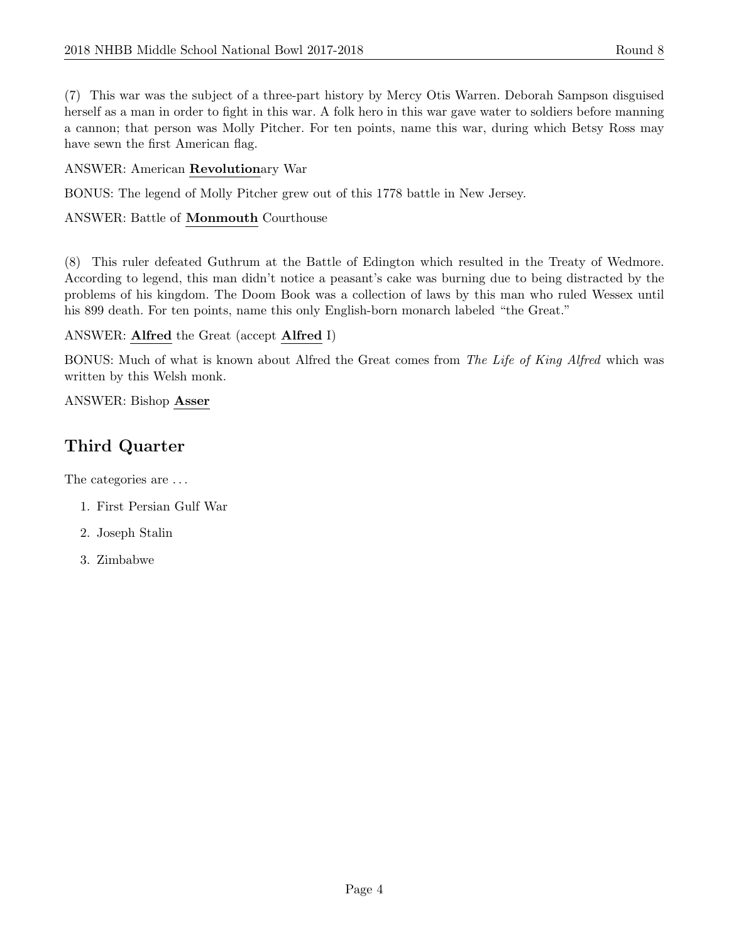(7) This war was the subject of a three-part history by Mercy Otis Warren. Deborah Sampson disguised herself as a man in order to fight in this war. A folk hero in this war gave water to soldiers before manning a cannon; that person was Molly Pitcher. For ten points, name this war, during which Betsy Ross may have sewn the first American flag.

# ANSWER: American Revolutionary War

BONUS: The legend of Molly Pitcher grew out of this 1778 battle in New Jersey.

# ANSWER: Battle of Monmouth Courthouse

(8) This ruler defeated Guthrum at the Battle of Edington which resulted in the Treaty of Wedmore. According to legend, this man didn't notice a peasant's cake was burning due to being distracted by the problems of his kingdom. The Doom Book was a collection of laws by this man who ruled Wessex until his 899 death. For ten points, name this only English-born monarch labeled "the Great."

# ANSWER: Alfred the Great (accept Alfred I)

BONUS: Much of what is known about Alfred the Great comes from The Life of King Alfred which was written by this Welsh monk.

### ANSWER: Bishop Asser

# Third Quarter

The categories are  $\dots$ 

- 1. First Persian Gulf War
- 2. Joseph Stalin
- 3. Zimbabwe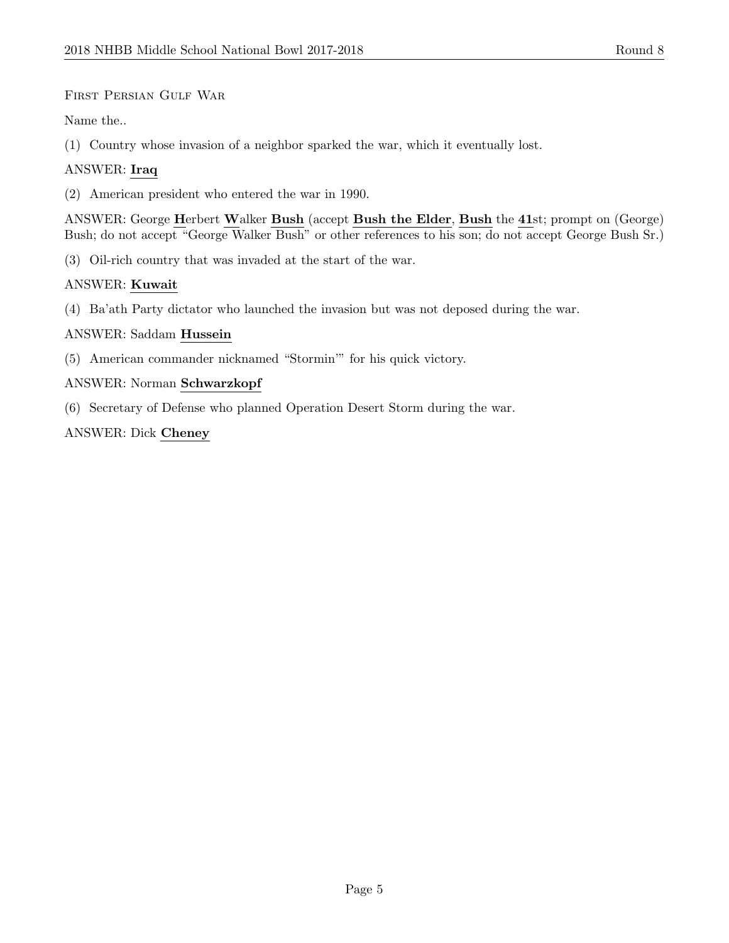### First Persian Gulf War

Name the..

(1) Country whose invasion of a neighbor sparked the war, which it eventually lost.

### ANSWER: Iraq

(2) American president who entered the war in 1990.

ANSWER: George Herbert Walker Bush (accept Bush the Elder, Bush the 41st; prompt on (George) Bush; do not accept "George Walker Bush" or other references to his son; do not accept George Bush Sr.)

(3) Oil-rich country that was invaded at the start of the war.

### ANSWER: Kuwait

(4) Ba'ath Party dictator who launched the invasion but was not deposed during the war.

### ANSWER: Saddam Hussein

(5) American commander nicknamed "Stormin'" for his quick victory.

### ANSWER: Norman Schwarzkopf

(6) Secretary of Defense who planned Operation Desert Storm during the war.

### ANSWER: Dick Cheney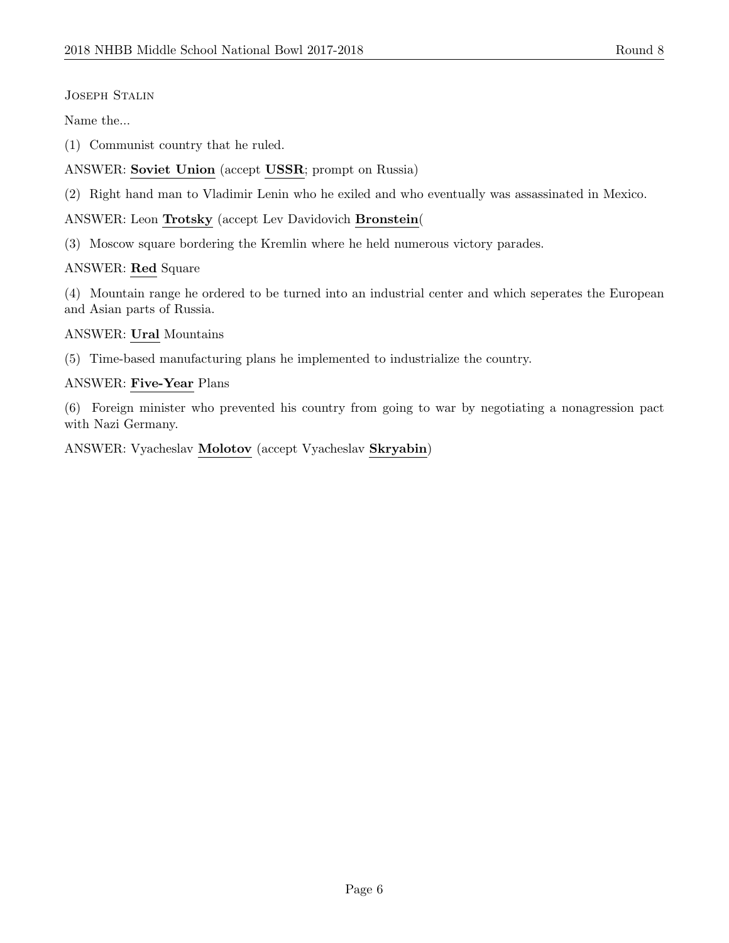### Joseph Stalin

Name the...

(1) Communist country that he ruled.

ANSWER: Soviet Union (accept USSR; prompt on Russia)

(2) Right hand man to Vladimir Lenin who he exiled and who eventually was assassinated in Mexico.

ANSWER: Leon Trotsky (accept Lev Davidovich Bronstein(

(3) Moscow square bordering the Kremlin where he held numerous victory parades.

### ANSWER: Red Square

(4) Mountain range he ordered to be turned into an industrial center and which seperates the European and Asian parts of Russia.

ANSWER: Ural Mountains

(5) Time-based manufacturing plans he implemented to industrialize the country.

# ANSWER: Five-Year Plans

(6) Foreign minister who prevented his country from going to war by negotiating a nonagression pact with Nazi Germany.

ANSWER: Vyacheslav Molotov (accept Vyacheslav Skryabin)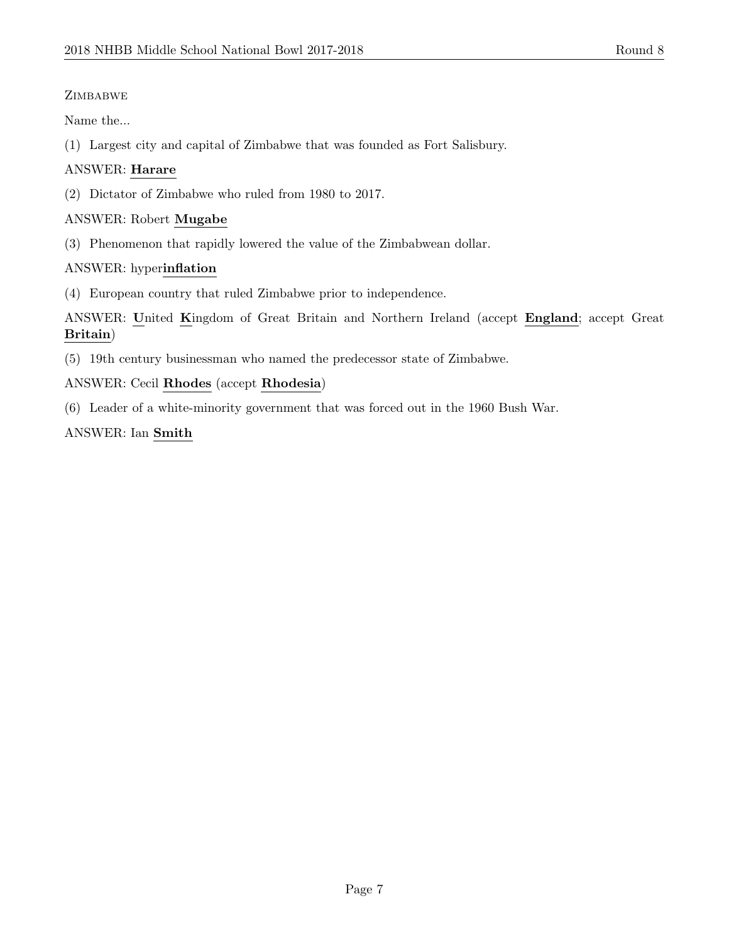# **ZIMBABWE**

Name the...

(1) Largest city and capital of Zimbabwe that was founded as Fort Salisbury.

# ANSWER: Harare

(2) Dictator of Zimbabwe who ruled from 1980 to 2017.

# ANSWER: Robert Mugabe

(3) Phenomenon that rapidly lowered the value of the Zimbabwean dollar.

# ANSWER: hyperinflation

(4) European country that ruled Zimbabwe prior to independence.

ANSWER: United Kingdom of Great Britain and Northern Ireland (accept England; accept Great Britain)

(5) 19th century businessman who named the predecessor state of Zimbabwe.

# ANSWER: Cecil Rhodes (accept Rhodesia)

(6) Leader of a white-minority government that was forced out in the 1960 Bush War.

# ANSWER: Ian Smith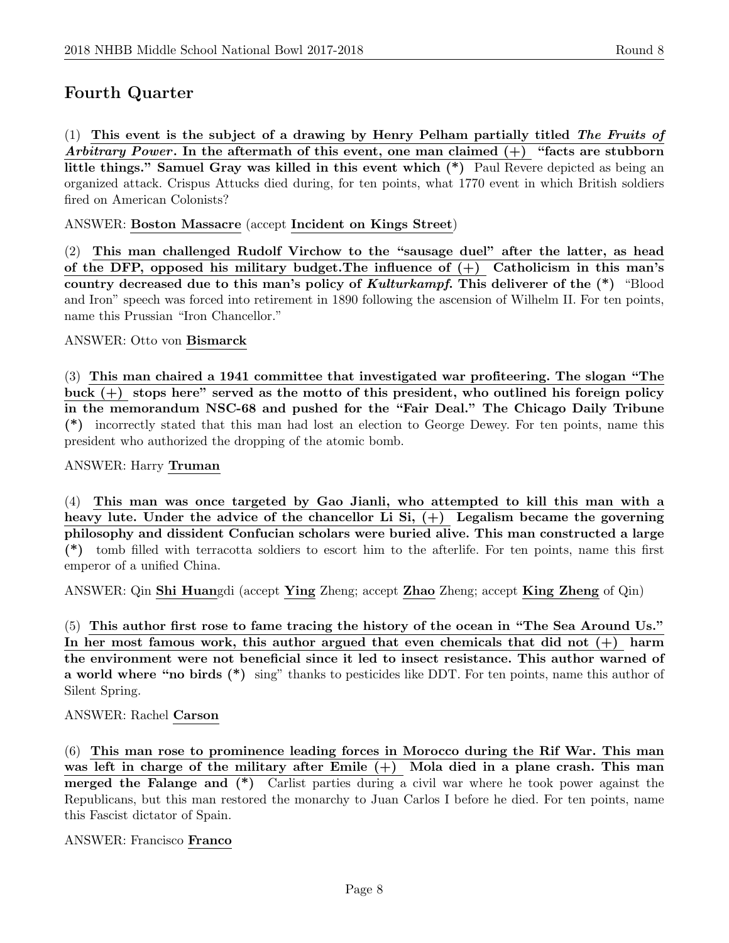# Fourth Quarter

 $(1)$  This event is the subject of a drawing by Henry Pelham partially titled The Fruits of Arbitrary Power. In the aftermath of this event, one man claimed  $(+)$  "facts are stubborn little things." Samuel Gray was killed in this event which (\*) Paul Revere depicted as being an organized attack. Crispus Attucks died during, for ten points, what 1770 event in which British soldiers fired on American Colonists?

ANSWER: Boston Massacre (accept Incident on Kings Street)

(2) This man challenged Rudolf Virchow to the "sausage duel" after the latter, as head of the DFP, opposed his military budget. The influence of  $(+)$  Catholicism in this man's country decreased due to this man's policy of Kulturkampf. This deliverer of the (\*) "Blood and Iron" speech was forced into retirement in 1890 following the ascension of Wilhelm II. For ten points, name this Prussian "Iron Chancellor."

ANSWER: Otto von Bismarck

(3) This man chaired a 1941 committee that investigated war profiteering. The slogan "The buck  $(+)$  stops here" served as the motto of this president, who outlined his foreign policy in the memorandum NSC-68 and pushed for the "Fair Deal." The Chicago Daily Tribune (\*) incorrectly stated that this man had lost an election to George Dewey. For ten points, name this president who authorized the dropping of the atomic bomb.

ANSWER: Harry Truman

(4) This man was once targeted by Gao Jianli, who attempted to kill this man with a heavy lute. Under the advice of the chancellor Li Si,  $(+)$  Legalism became the governing philosophy and dissident Confucian scholars were buried alive. This man constructed a large (\*) tomb filled with terracotta soldiers to escort him to the afterlife. For ten points, name this first emperor of a unified China.

ANSWER: Qin Shi Huangdi (accept Ying Zheng; accept Zhao Zheng; accept King Zheng of Qin)

(5) This author first rose to fame tracing the history of the ocean in "The Sea Around Us." In her most famous work, this author argued that even chemicals that did not  $(+)$  harm the environment were not beneficial since it led to insect resistance. This author warned of a world where "no birds (\*) sing" thanks to pesticides like DDT. For ten points, name this author of Silent Spring.

ANSWER: Rachel Carson

(6) This man rose to prominence leading forces in Morocco during the Rif War. This man was left in charge of the military after Emile  $(+)$  Mola died in a plane crash. This man merged the Falange and (\*) Carlist parties during a civil war where he took power against the Republicans, but this man restored the monarchy to Juan Carlos I before he died. For ten points, name this Fascist dictator of Spain.

ANSWER: Francisco Franco